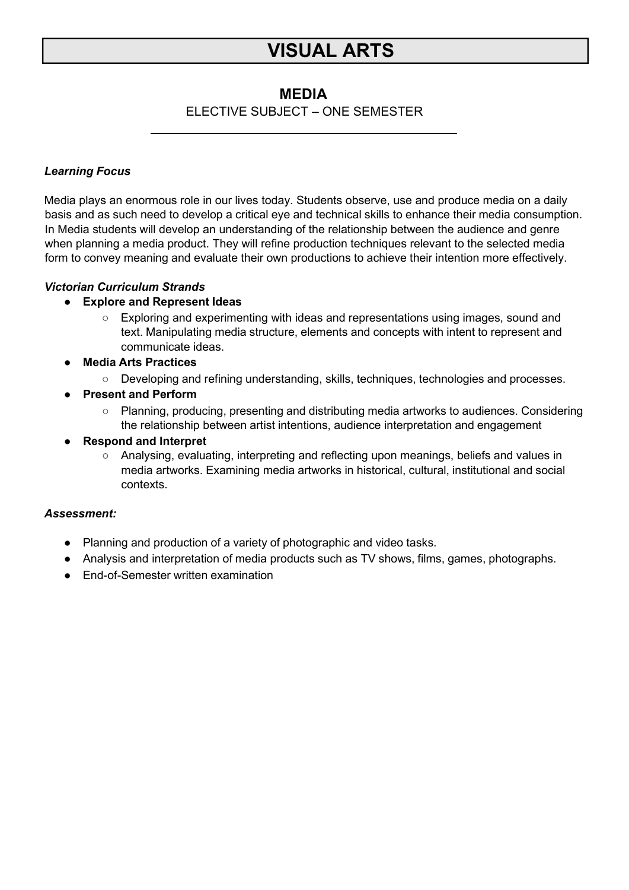# **VISUAL ARTS**

# **MEDIA**

# ELECTIVE SUBJECT – ONE SEMESTER

## *Learning Focus*

Media plays an enormous role in our lives today. Students observe, use and produce media on a daily basis and as such need to develop a critical eye and technical skills to enhance their media consumption. In Media students will develop an understanding of the relationship between the audience and genre when planning a media product. They will refine production techniques relevant to the selected media form to convey meaning and evaluate their own productions to achieve their intention more effectively.

## *Victorian Curriculum Strands*

### **● Explore and Represent Ideas**

- Exploring and experimenting with ideas and representations using images, sound and text. Manipulating media structure, elements and concepts with intent to represent and communicate ideas.
- **● Media Arts Practices**
	- Developing and refining understanding, skills, techniques, technologies and processes.
- **● Present and Perform**
	- Planning, producing, presenting and distributing media artworks to audiences. Considering the relationship between artist intentions, audience interpretation and engagement
- **● Respond and Interpret**
	- Analysing, evaluating, interpreting and reflecting upon meanings, beliefs and values in media artworks. Examining media artworks in historical, cultural, institutional and social contexts.

### *Assessment:*

- **●** Planning and production of a variety of photographic and video tasks.
- **●** Analysis and interpretation of media products such as TV shows, films, games, photographs.
- **●** End-of-Semester written examination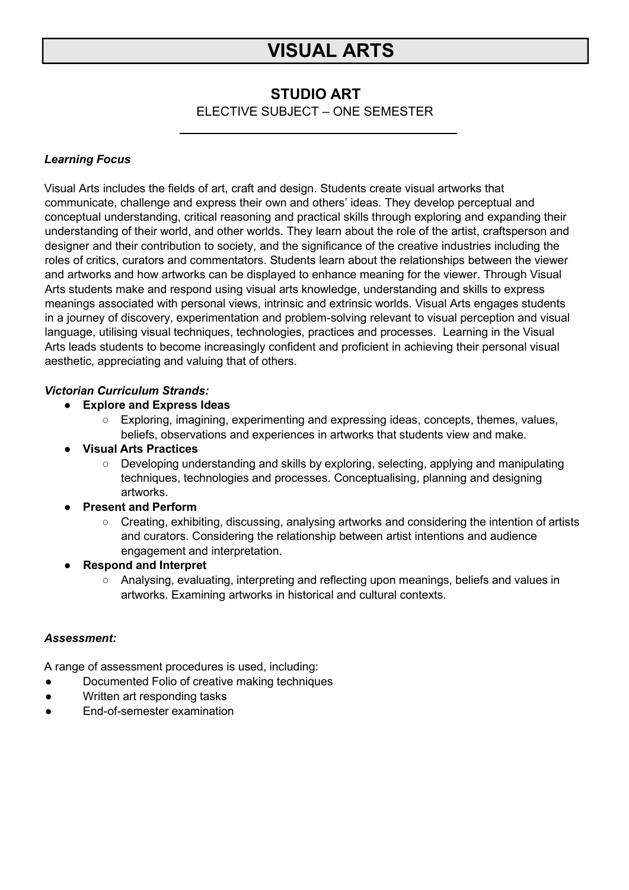# **VISUAL ARTS**

# **STUDIO ART**

ELECTIVE SUBJECT – ONE SEMESTER

# *Learning Focus*

Visual Arts includes the fields of art, craft and design. Students create visual artworks that communicate, challenge and express their own and others' ideas. They develop perceptual and conceptual understanding, critical reasoning and practical skills through exploring and expanding their understanding of their world, and other worlds. They learn about the role of the artist, craftsperson and designer and their contribution to society, and the significance of the creative industries including the roles of critics, curators and commentators. Students learn about the relationships between the viewer and artworks and how artworks can be displayed to enhance meaning for the viewer. Through Visual Arts students make and respond using visual arts knowledge, understanding and skills to express meanings associated with personal views, intrinsic and extrinsic worlds. Visual Arts engages students in a journey of discovery, experimentation and problem-solving relevant to visual perception and visual language, utilising visual techniques, technologies, practices and processes. Learning in the Visual Arts leads students to become increasingly confident and proficient in achieving their personal visual aesthetic, appreciating and valuing that of others.

## *Victorian Curriculum Strands:*

## **● Explore and Express Ideas**

○ Exploring, imagining, experimenting and expressing ideas, concepts, themes, values, beliefs, observations and experiences in artworks that students view and make.

## **● Visual Arts Practices**

○ Developing understanding and skills by exploring, selecting, applying and manipulating techniques, technologies and processes. Conceptualising, planning and designing artworks.

## **● Present and Perform**

 $\circ$  Creating, exhibiting, discussing, analysing artworks and considering the intention of artists and curators. Considering the relationship between artist intentions and audience engagement and interpretation.

## **● Respond and Interpret**

○ Analysing, evaluating, interpreting and reflecting upon meanings, beliefs and values in artworks. Examining artworks in historical and cultural contexts.

### *Assessment:*

A range of assessment procedures is used, including:

- Documented Folio of creative making techniques
- Written art responding tasks
- End-of-semester examination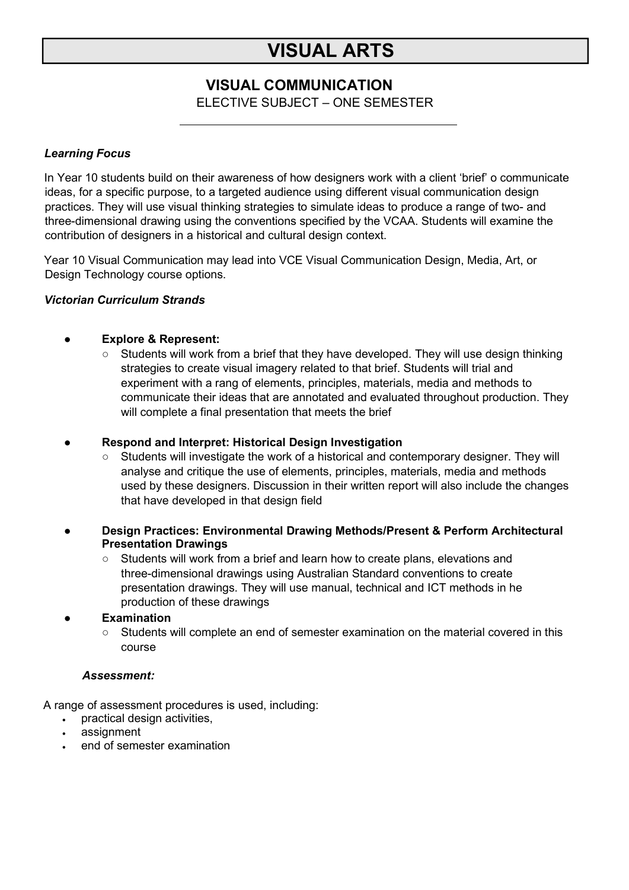# **VISUAL ARTS**

# **VISUAL COMMUNICATION**

ELECTIVE SUBJECT – ONE SEMESTER

### *Learning Focus*

In Year 10 students build on their awareness of how designers work with a client 'brief' o communicate ideas, for a specific purpose, to a targeted audience using different visual communication design practices. They will use visual thinking strategies to simulate ideas to produce a range of two- and three-dimensional drawing using the conventions specified by the VCAA. Students will examine the contribution of designers in a historical and cultural design context.

Year 10 Visual Communication may lead into VCE Visual Communication Design, Media, Art, or Design Technology course options.

### *Victorian Curriculum Strands*

### **● Explore & Represent:**

- $\circ$  Students will work from a brief that they have developed. They will use design thinking strategies to create visual imagery related to that brief. Students will trial and experiment with a rang of elements, principles, materials, media and methods to communicate their ideas that are annotated and evaluated throughout production. They will complete a final presentation that meets the brief
- **● Respond and Interpret: Historical Design Investigation**
	- Students will investigate the work of a historical and contemporary designer. They will analyse and critique the use of elements, principles, materials, media and methods used by these designers. Discussion in their written report will also include the changes that have developed in that design field
- **● Design Practices: Environmental Drawing Methods/Present & Perform Architectural Presentation Drawings**
	- Students will work from a brief and learn how to create plans, elevations and three-dimensional drawings using Australian Standard conventions to create presentation drawings. They will use manual, technical and ICT methods in he production of these drawings

**● Examination**

○ Students will complete an end of semester examination on the material covered in this course

## *Assessment:*

A range of assessment procedures is used, including:

- practical design activities,
- assignment
- end of semester examination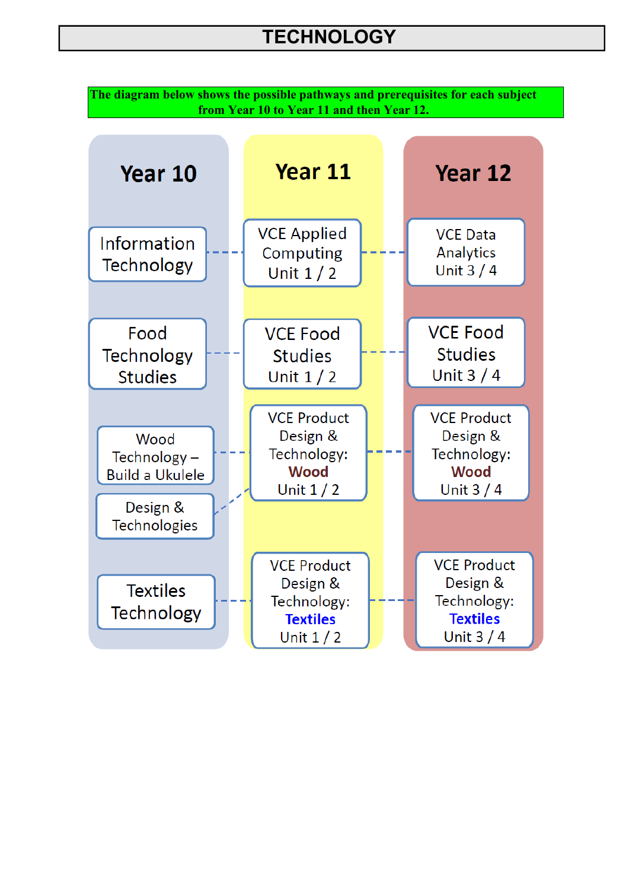**The diagram below shows the possible pathways and prerequisites for each subject from Year 10 to Year 11 and then Year 12.**

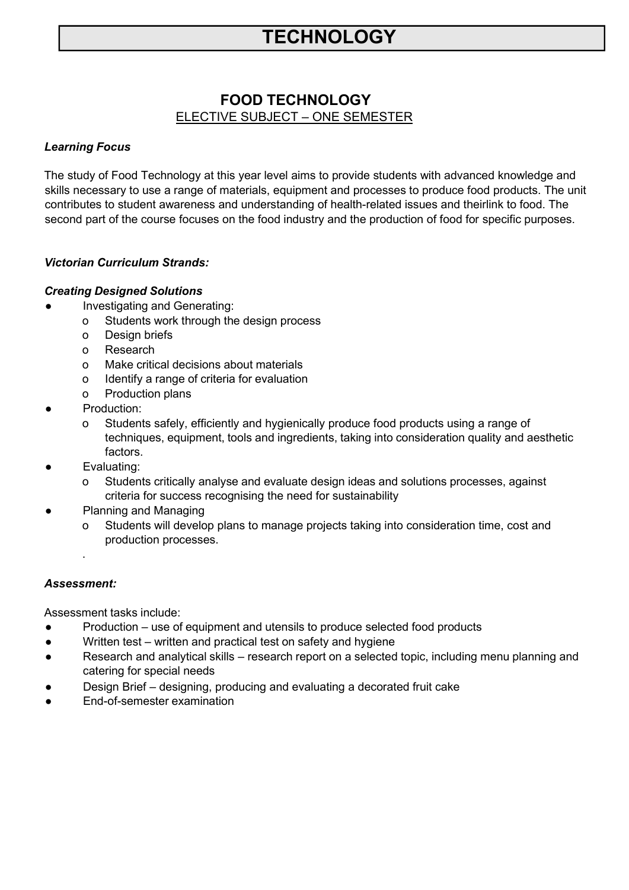# **FOOD TECHNOLOGY** ELECTIVE SUBJECT – ONE SEMESTER

## *Learning Focus*

The study of Food Technology at this year level aims to provide students with advanced knowledge and skills necessary to use a range of materials, equipment and processes to produce food products. The unit contributes to student awareness and understanding of health-related issues and theirlink to food. The second part of the course focuses on the food industry and the production of food for specific purposes.

## *Victorian Curriculum Strands:*

### *Creating Designed Solutions*

- Investigating and Generating:
	- o Students work through the design process
	- o Design briefs
	- o Research
	- o Make critical decisions about materials
	- o Identify a range of criteria for evaluation
	- o Production plans
- Production:
	- o Students safely, efficiently and hygienically produce food products using a range of techniques, equipment, tools and ingredients, taking into consideration quality and aesthetic factors.
- Evaluating:
	- o Students critically analyse and evaluate design ideas and solutions processes, against criteria for success recognising the need for sustainability
- Planning and Managing
	- o Students will develop plans to manage projects taking into consideration time, cost and production processes.

### *Assessment:*

.

Assessment tasks include:

- Production use of equipment and utensils to produce selected food products
- Written test written and practical test on safety and hygiene
- Research and analytical skills research report on a selected topic, including menu planning and catering for special needs
- Design Brief designing, producing and evaluating a decorated fruit cake
- End-of-semester examination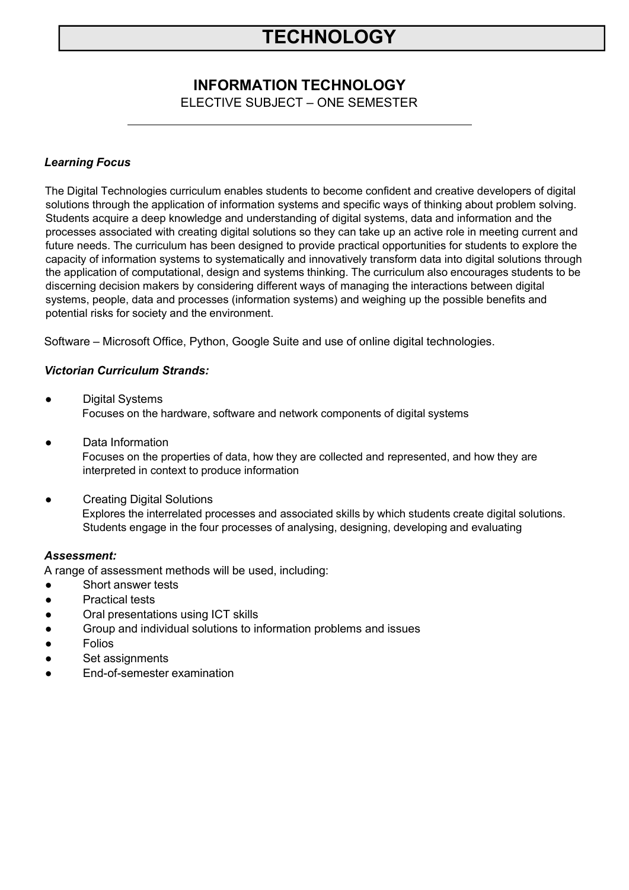# **INFORMATION TECHNOLOGY**

ELECTIVE SUBJECT – ONE SEMESTER

### *Learning Focus*

The Digital Technologies curriculum enables students to become confident and creative developers of digital solutions through the application of information systems and specific ways of thinking about problem solving. Students acquire a deep knowledge and understanding of digital systems, data and information and the processes associated with creating digital solutions so they can take up an active role in meeting current and future needs. The curriculum has been designed to provide practical opportunities for students to explore the capacity of information systems to systematically and innovatively transform data into digital solutions through the application of computational, design and systems thinking. The curriculum also encourages students to be discerning decision makers by considering different ways of managing the interactions between digital systems, people, data and processes (information systems) and weighing up the possible benefits and potential risks for society and the environment.

Software – Microsoft Office, Python, Google Suite and use of online digital technologies.

### *Victorian Curriculum Strands:*

- **Digital Systems** Focuses on the hardware, software and network components of digital systems
- Data Information Focuses on the properties of data, how they are collected and represented, and how they are interpreted in context to produce information
- **Creating Digital Solutions** Explores the interrelated processes and associated skills by which students create digital solutions. Students engage in the four processes of analysing, designing, developing and evaluating

### *Assessment:*

A range of assessment methods will be used, including:

- Short answer tests
- Practical tests
- Oral presentations using ICT skills
- Group and individual solutions to information problems and issues
- **Folios**
- Set assignments
- **End-of-semester examination**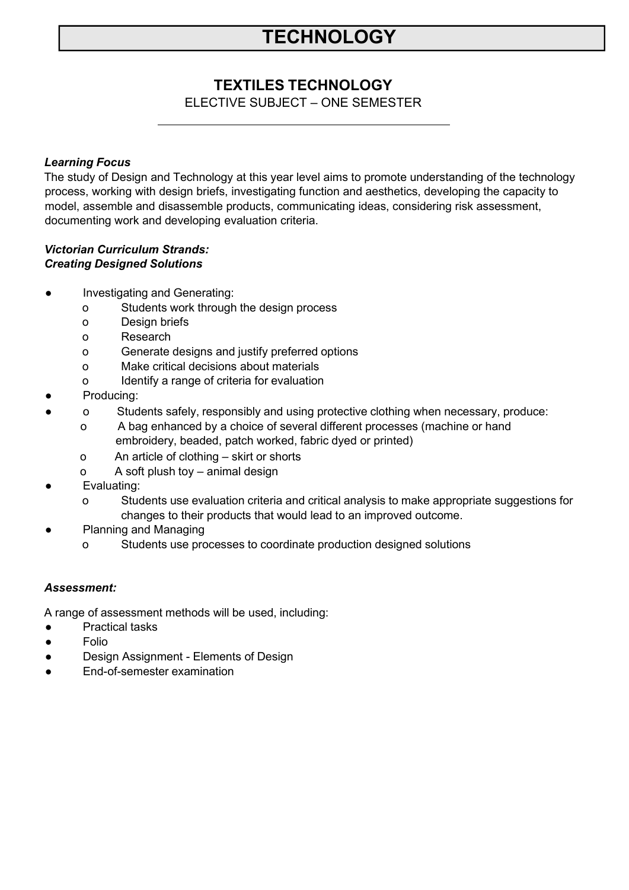# **TEXTILES TECHNOLOGY**

ELECTIVE SUBJECT – ONE SEMESTER

### *Learning Focus*

The study of Design and Technology at this year level aims to promote understanding of the technology process, working with design briefs, investigating function and aesthetics, developing the capacity to model, assemble and disassemble products, communicating ideas, considering risk assessment, documenting work and developing evaluation criteria.

### *Victorian Curriculum Strands: Creating Designed Solutions*

- Investigating and Generating:
	- o Students work through the design process
	- o Design briefs
	- o Research
	- o Generate designs and justify preferred options
	- o Make critical decisions about materials
	- o Identify a range of criteria for evaluation
- Producing:
	- o Students safely, responsibly and using protective clothing when necessary, produce:
		- o A bag enhanced by a choice of several different processes (machine or hand embroidery, beaded, patch worked, fabric dyed or printed)
		- o An article of clothing skirt or shorts
		- o A soft plush toy animal design
- Evaluating:
	- o Students use evaluation criteria and critical analysis to make appropriate suggestions for changes to their products that would lead to an improved outcome.
- **Planning and Managing** 
	- o Students use processes to coordinate production designed solutions

### *Assessment:*

A range of assessment methods will be used, including:

- Practical tasks
- Folio
- Design Assignment Elements of Design
- End-of-semester examination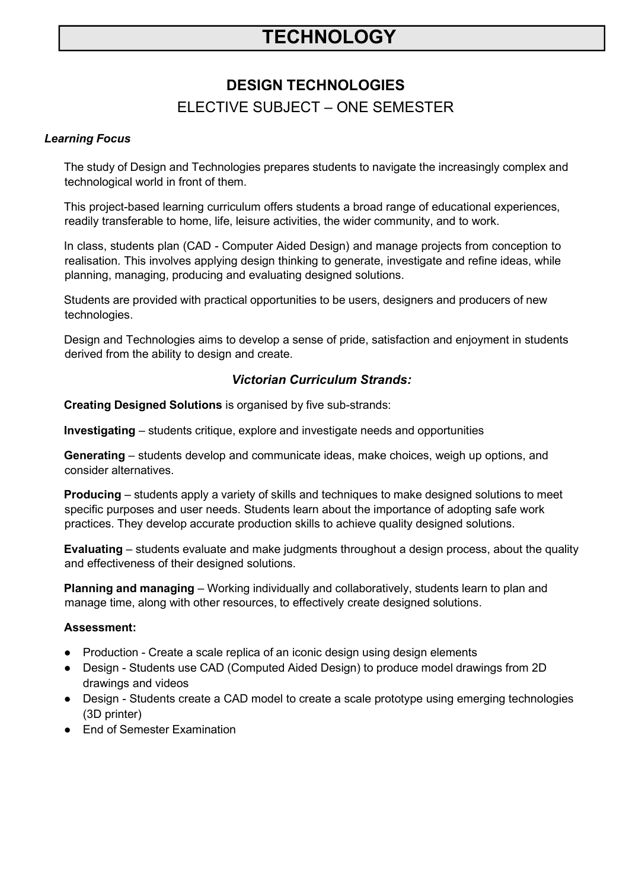# **DESIGN TECHNOLOGIES**

# ELECTIVE SUBJECT – ONE SEMESTER

### *Learning Focus*

The study of Design and Technologies prepares students to navigate the increasingly complex and technological world in front of them.

This project-based learning curriculum offers students a broad range of educational experiences, readily transferable to home, life, leisure activities, the wider community, and to work.

In class, students plan (CAD - Computer Aided Design) and manage projects from conception to realisation. This involves applying design thinking to generate, investigate and refine ideas, while planning, managing, producing and evaluating designed solutions.

Students are provided with practical opportunities to be users, designers and producers of new technologies.

Design and Technologies aims to develop a sense of pride, satisfaction and enjoyment in students derived from the ability to design and create.

## *Victorian Curriculum Strands:*

**Creating Designed Solutions** is organised by five sub-strands:

**Investigating** – students critique, explore and investigate needs and opportunities

**Generating** – students develop and communicate ideas, make choices, weigh up options, and consider alternatives.

**Producing** – students apply a variety of skills and techniques to make designed solutions to meet specific purposes and user needs. Students learn about the importance of adopting safe work practices. They develop accurate production skills to achieve quality designed solutions.

**Evaluating** – students evaluate and make judgments throughout a design process, about the quality and effectiveness of their designed solutions.

**Planning and managing** – Working individually and collaboratively, students learn to plan and manage time, along with other resources, to effectively create designed solutions.

### **Assessment:**

- Production Create a scale replica of an iconic design using design elements
- Design Students use CAD (Computed Aided Design) to produce model drawings from 2D drawings and videos
- Design Students create a CAD model to create a scale prototype using emerging technologies (3D printer)
- **End of Semester Examination**